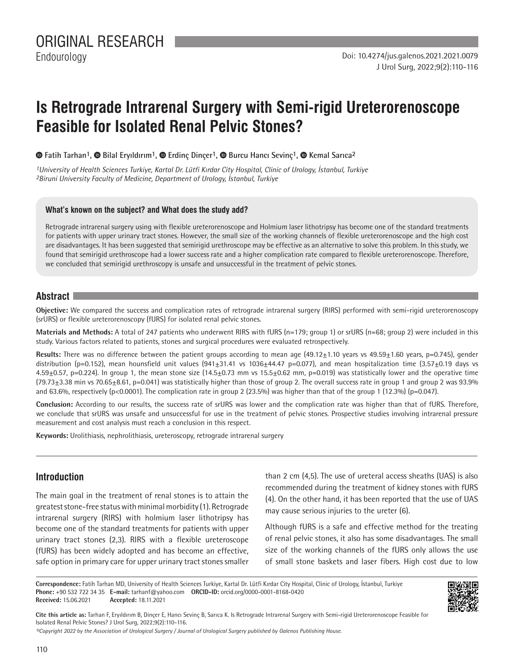# **Is Retrograde Intrarenal Surgery with Semi-rigid Ureterorenoscope Feasible for Isolated Renal Pelvic Stones?**

**Fatih Tarhan1, Bilal Eryıldırım1, Erdinç Dinçer1, Burcu Hancı Sevinç1,Kemal Sarıca2**

*1University of Health Sciences Turkiye, Kartal Dr. Lütfi Kırdar City Hospital, Clinic of Urology, İstanbul, Turkiye 2Biruni University Faculty of Medicine, Department of Urology, İstanbul, Turkiye*

#### **What's known on the subject? and What does the study add?**

Retrograde intrarenal surgery using with flexible ureterorenoscope and Holmium laser lithotripsy has become one of the standard treatments for patients with upper urinary tract stones. However, the small size of the working channels of flexible ureterorenoscope and the high cost are disadvantages. It has been suggested that semirigid urethroscope may be effective as an alternative to solve this problem. In this study, we found that semirigid urethroscope had a lower success rate and a higher complication rate compared to flexible ureterorenoscope. Therefore, we concluded that semirigid urethroscopy is unsafe and unsuccessful in the treatment of pelvic stones.

## **Abstract**

**Objective:** We compared the success and complication rates of retrograde intrarenal surgery (RIRS) performed with semi-rigid ureterorenoscopy (srURS) or flexible ureterorenoscopy (fURS) for isolated renal pelvic stones.

**Materials and Methods:** A total of 247 patients who underwent RIRS with fURS (n=179; group 1) or srURS (n=68; group 2) were included in this study. Various factors related to patients, stones and surgical procedures were evaluated retrospectively.

Results: There was no difference between the patient groups according to mean age (49.12 $\pm$ 1.10 years vs 49.59 $\pm$ 1.60 years, p=0.745), gender distribution (p=0.152), mean hounsfield unit values (941 $\pm$ 31.41 vs 1036 $\pm$ 44.47 p=0.077), and mean hospitalization time (3.57 $\pm$ 0.19 days vs 4.59 $\pm$ 0.57, p=0.224). In group 1, the mean stone size (14.5 $\pm$ 0.73 mm vs 15.5 $\pm$ 0.62 mm, p=0.019) was statistically lower and the operative time  $(79.73\pm3.38$  min vs 70.65 $\pm$ 8.61, p=0.041) was statistically higher than those of group 2. The overall success rate in group 1 and group 2 was 93.9% and 63.6%, respectively (p<0.0001). The complication rate in group 2 (23.5%) was higher than that of the group 1 (12.3%) (p=0.047).

**Conclusion:** According to our results, the success rate of srURS was lower and the complication rate was higher than that of fURS. Therefore, we conclude that srURS was unsafe and unsuccessful for use in the treatment of pelvic stones. Prospective studies involving intrarenal pressure measurement and cost analysis must reach a conclusion in this respect.

**Keywords:** Urolithiasis, nephrolithiasis, ureteroscopy, retrograde intrarenal surgery

# **Introduction**

The main goal in the treatment of renal stones is to attain the greatest stone-free status with minimal morbidity (1). Retrograde intrarenal surgery (RIRS) with holmium laser lithotripsy has become one of the standard treatments for patients with upper urinary tract stones (2,3). RIRS with a flexible ureteroscope (fURS) has been widely adopted and has become an effective, safe option in primary care for upper urinary tract stones smaller than 2 cm (4,5). The use of ureteral access sheaths (UAS) is also recommended during the treatment of kidney stones with fURS (4). On the other hand, it has been reported that the use of UAS may cause serious injuries to the ureter (6).

Although fURS is a safe and effective method for the treating of renal pelvic stones, it also has some disadvantages. The small size of the working channels of the fURS only allows the use of small stone baskets and laser fibers. High cost due to low



**Cite this article as:** Tarhan F, Eryıldırım B, Dinçer E, Hancı Sevinç B, Sarıca K. Is Retrograde Intrarenal Surgery with Semi-rigid Ureterorenoscope Feasible for Isolated Renal Pelvic Stones? J Urol Surg, 2022;9(2):110-116.

*©Copyright 2022 by the Association of Urological Surgery / Journal of Urological Surgery published by Galenos Publishing House.*

**Correspondence:** Fatih Tarhan MD, University of Health Sciences Turkiye, Kartal Dr. Lütfi Kırdar City Hospital, Clinic of Urology, İstanbul, Turkiye **Phone:** +90 532 722 34 35 **E-mail:** tarhanf@yahoo.com **ORCID-ID:** orcid.org/0000-0001-8168-0420 **Received:** 15.06.2021 **Accepted:** 18.11.2021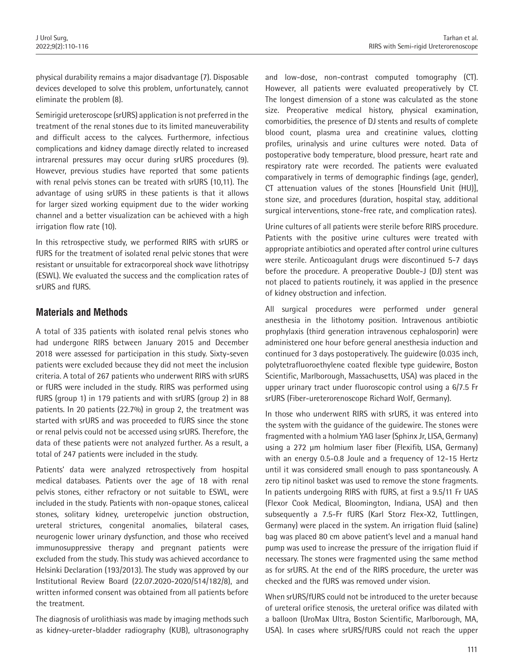physical durability remains a major disadvantage (7). Disposable devices developed to solve this problem, unfortunately, cannot eliminate the problem (8).

Semirigid ureteroscope (srURS) application is not preferred in the treatment of the renal stones due to its limited maneuverability and difficult access to the calyces. Furthermore, infectious complications and kidney damage directly related to increased intrarenal pressures may occur during srURS procedures (9). However, previous studies have reported that some patients with renal pelvis stones can be treated with srURS (10,11). The advantage of using srURS in these patients is that it allows for larger sized working equipment due to the wider working channel and a better visualization can be achieved with a high irrigation flow rate (10).

In this retrospective study, we performed RIRS with srURS or fURS for the treatment of isolated renal pelvic stones that were resistant or unsuitable for extracorporeal shock wave lithotripsy (ESWL). We evaluated the success and the complication rates of srURS and fURS.

# **Materials and Methods**

A total of 335 patients with isolated renal pelvis stones who had undergone RIRS between January 2015 and December 2018 were assessed for participation in this study. Sixty-seven patients were excluded because they did not meet the inclusion criteria. A total of 267 patients who underwent RIRS with srURS or fURS were included in the study. RIRS was performed using fURS (group 1) in 179 patients and with srURS (group 2) in 88 patients. In 20 patients (22.7%) in group 2, the treatment was started with srURS and was proceeded to fURS since the stone or renal pelvis could not be accessed using srURS. Therefore, the data of these patients were not analyzed further. As a result, a total of 247 patients were included in the study.

Patients' data were analyzed retrospectively from hospital medical databases. Patients over the age of 18 with renal pelvis stones, either refractory or not suitable to ESWL, were included in the study. Patients with non-opaque stones, caliceal stones, solitary kidney, ureteropelvic junction obstruction, ureteral strictures, congenital anomalies, bilateral cases, neurogenic lower urinary dysfunction, and those who received immunosuppressive therapy and pregnant patients were excluded from the study. This study was achieved accordance to Helsinki Declaration (193/2013). The study was approved by our Institutional Review Board (22.07.2020-2020/514/182/8), and written informed consent was obtained from all patients before the treatment.

The diagnosis of urolithiasis was made by imaging methods such as kidney-ureter-bladder radiography (KUB), ultrasonography and low-dose, non-contrast computed tomography (CT). However, all patients were evaluated preoperatively by CT. The longest dimension of a stone was calculated as the stone size. Preoperative medical history, physical examination, comorbidities, the presence of DJ stents and results of complete blood count, plasma urea and creatinine values, clotting profiles, urinalysis and urine cultures were noted. Data of postoperative body temperature, blood pressure, heart rate and respiratory rate were recorded. The patients were evaluated comparatively in terms of demographic findings (age, gender), CT attenuation values of the stones [Hounsfield Unit (HU)], stone size, and procedures (duration, hospital stay, additional surgical interventions, stone-free rate, and complication rates).

Urine cultures of all patients were sterile before RIRS procedure. Patients with the positive urine cultures were treated with appropriate antibiotics and operated after control urine cultures were sterile. Anticoagulant drugs were discontinued 5-7 days before the procedure. A preoperative Double-J (DJ) stent was not placed to patients routinely, it was applied in the presence of kidney obstruction and infection.

All surgical procedures were performed under general anesthesia in the lithotomy position. Intravenous antibiotic prophylaxis (third generation intravenous cephalosporin) were administered one hour before general anesthesia induction and continued for 3 days postoperatively. The guidewire (0.035 inch, polytetrafluoroethylene coated flexible type guidewire, Boston Scientific, Marlborough, Massachusetts, USA) was placed in the upper urinary tract under fluoroscopic control using a 6/7.5 Fr srURS (Fiber-ureterorenoscope Richard Wolf, Germany).

In those who underwent RIRS with srURS, it was entered into the system with the guidance of the guidewire. The stones were fragmented with a holmium YAG laser (Sphinx Jr, LISA, Germany) using a 272 μm holmium laser fiber (Flexifib, LISA, Germany) with an energy 0.5-0.8 Joule and a frequency of 12-15 Hertz until it was considered small enough to pass spontaneously. A zero tip nitinol basket was used to remove the stone fragments. In patients undergoing RIRS with fURS, at first a 9.5/11 Fr UAS (Flexor Cook Medical, Bloomington, Indiana, USA) and then subsequently a 7.5-Fr fURS (Karl Storz Flex-X2, Tuttlingen, Germany) were placed in the system. An irrigation fluid (saline) bag was placed 80 cm above patient's level and a manual hand pump was used to increase the pressure of the irrigation fluid if necessary. The stones were fragmented using the same method as for srURS. At the end of the RIRS procedure, the ureter was checked and the fURS was removed under vision.

When srURS/fURS could not be introduced to the ureter because of ureteral orifice stenosis, the ureteral orifice was dilated with a balloon (UroMax Ultra, Boston Scientific, Marlborough, MA, USA). In cases where srURS/fURS could not reach the upper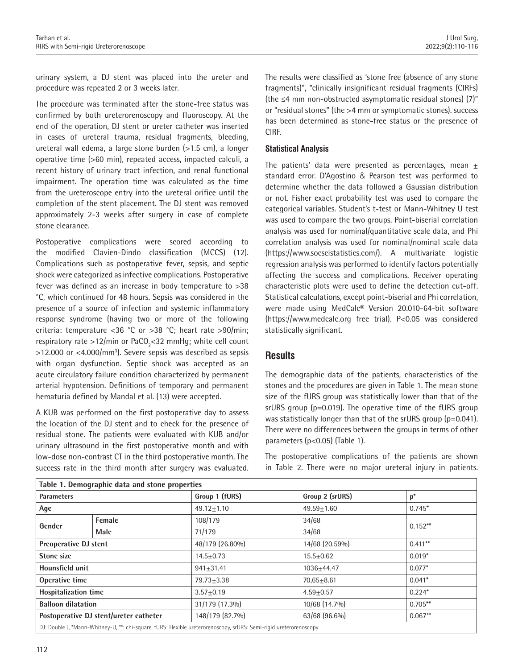urinary system, a DJ stent was placed into the ureter and procedure was repeated 2 or 3 weeks later.

The procedure was terminated after the stone-free status was confirmed by both ureterorenoscopy and fluoroscopy. At the end of the operation, DJ stent or ureter catheter was inserted in cases of ureteral trauma, residual fragments, bleeding, ureteral wall edema, a large stone burden (>1.5 cm), a longer operative time (>60 min), repeated access, impacted calculi, a recent history of urinary tract infection, and renal functional impairment. The operation time was calculated as the time from the ureteroscope entry into the ureteral orifice until the completion of the stent placement. The DJ stent was removed approximately 2-3 weeks after surgery in case of complete stone clearance.

Postoperative complications were scored according to the modified Clavien-Dindo classification (MCCS) (12). Complications such as postoperative fever, sepsis, and septic shock were categorized as infective complications. Postoperative fever was defined as an increase in body temperature to >38 °C, which continued for 48 hours. Sepsis was considered in the presence of a source of infection and systemic inflammatory response syndrome (having two or more of the following criteria: temperature <36 °C or >38 °C; heart rate >90/min; respiratory rate >12/min or PaCO $_2$ <32 mmHg; white cell count  $>$ 12.000 or <4.000/mm<sup>3</sup>). Severe sepsis was described as sepsis with organ dysfunction. Septic shock was accepted as an acute circulatory failure condition characterized by permanent arterial hypotension. Definitions of temporary and permanent hematuria defined by Mandal et al. (13) were accepted.

A KUB was performed on the first postoperative day to assess the location of the DJ stent and to check for the presence of residual stone. The patients were evaluated with KUB and/or urinary ultrasound in the first postoperative month and with low-dose non-contrast CT in the third postoperative month. The success rate in the third month after surgery was evaluated.

The results were classified as 'stone free (absence of any stone fragments)", "clinically insignificant residual fragments (CIRFs) (the ≤4 mm non-obstructed asymptomatic residual stones) (7)" or "residual stones" (the >4 mm or symptomatic stones). success has been determined as stone-free status or the presence of CIRF.

## **Statistical Analysis**

The patients' data were presented as percentages, mean  $\pm$ standard error. D'Agostino & Pearson test was performed to determine whether the data followed a Gaussian distribution or not. Fisher exact probability test was used to compare the categorical variables. Student's t-test or Mann-Whitney U test was used to compare the two groups. Point-biserial correlation analysis was used for nominal/quantitative scale data, and Phi correlation analysis was used for nominal/nominal scale data (https://www.socscistatistics.com/). A multivariate logistic regression analysis was performed to identify factors potentially affecting the success and complications. Receiver operating characteristic plots were used to define the detection cut-off. Statistical calculations, except point-biserial and Phi correlation, were made using MedCalc® Version 20.010-64-bit software (https://www.medcalc.org free trial). P<0.05 was considered statistically significant.

## **Results**

The demographic data of the patients, characteristics of the stones and the procedures are given in Table 1. The mean stone size of the fURS group was statistically lower than that of the srURS group (p=0.019). The operative time of the fURS group was statistically longer than that of the srURS group (p=0.041). There were no differences between the groups in terms of other parameters (p<0.05) (Table 1).

The postoperative complications of the patients are shown in Table 2. There were no major ureteral injury in patients.

| Table 1. Demographic data and stone properties |        |                                                                                                                    |                 |            |  |
|------------------------------------------------|--------|--------------------------------------------------------------------------------------------------------------------|-----------------|------------|--|
| <b>Parameters</b>                              |        | Group 1 (fURS)                                                                                                     | Group 2 (srURS) | $p^*$      |  |
| Age                                            |        | $49.12 + 1.10$                                                                                                     | $49.59 + 1.60$  | $0.745*$   |  |
| Gender                                         | Female | 108/179                                                                                                            | 34/68           | $0.152***$ |  |
|                                                | Male   | 71/179                                                                                                             | 34/68           |            |  |
| <b>Preoperative DJ stent</b>                   |        | 48/179 (26.80%)                                                                                                    | 14/68 (20.59%)  | $0.411***$ |  |
| Stone size                                     |        | $14.5 + 0.73$                                                                                                      | $15.5 + 0.62$   | $0.019*$   |  |
| Hounsfield unit                                |        | $941 + 31.41$                                                                                                      | $1036 + 44.47$  | $0.077*$   |  |
| Operative time                                 |        | $79.73 + 3.38$                                                                                                     | $70,65+8.61$    | $0.041*$   |  |
| Hospitalization time                           |        | $3.57 + 0.19$                                                                                                      | $4.59 + 0.57$   | $0.224*$   |  |
| <b>Balloon dilatation</b>                      |        | 31/179 (17.3%)                                                                                                     | 10/68 (14.7%)   | $0.705***$ |  |
| Postoperative DJ stent/ureter catheter         |        | 148/179 (82.7%)                                                                                                    | 63/68 (96.6%)   | $0.067**$  |  |
|                                                |        | DJ: Double J, *Mann-Whitney-U, **: chi-square, fURS: Flexible ureterorenoscopy, srURS: Semi-rigid ureterorenoscopy |                 |            |  |

112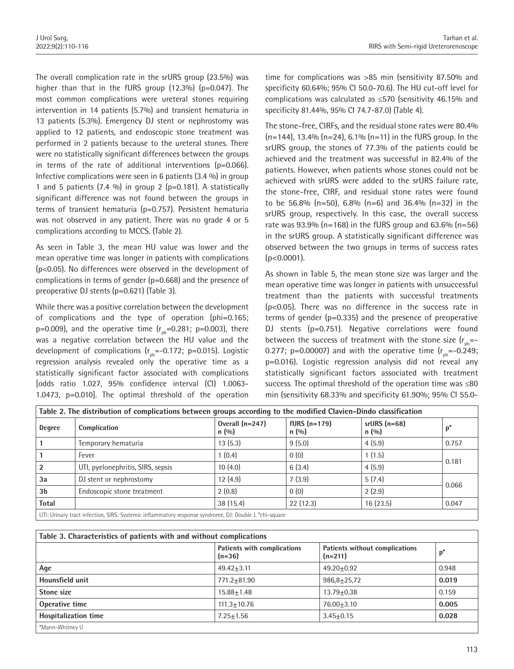Tarhan et al. RIRS with Semi-rigid Ureterorenoscope

The overall complication rate in the srURS group (23.5%) was higher than that in the fURS group  $(12.3\%)$   $(p=0.047)$ . The most common complications were ureteral stones requiring intervention in 14 patients (5.7%) and transient hematuria in 13 patients (5.3%). Emergency DJ stent or nephrostomy was applied to 12 patients, and endoscopic stone treatment was performed in 2 patients because to the ureteral stones. There were no statistically significant differences between the groups in terms of the rate of additional interventions (p=0.066). Infective complications were seen in 6 patients (3.4 %) in group 1 and 5 patients (7.4 %) in group 2 (p=0.181). A statistically significant difference was not found between the groups in terms of transient hematuria (p=0.757). Persistent hematuria was not observed in any patient. There was no grade 4 or 5 complications according to MCCS. (Table 2).

As seen in Table 3, the mean HU value was lower and the mean operative time was longer in patients with complications (p<0.05). No differences were observed in the development of complications in terms of gender (p=0.668) and the presence of preoperative DJ stents (p=0.621) (Table 3).

While there was a positive correlation between the development of complications and the type of operation (phi=0.165; p=0.009), and the operative time  $(r_{\phi}=0.281; \; p=0.003)$ , there was a negative correlation between the HU value and the development of complications  $(r_{\text{ph}}=-0.172; \text{ p}=0.015)$ . Logistic regression analysis revealed only the operative time as a statistically significant factor associated with complications [odds ratio 1.027, 95% confidence interval (CI) 1.0063- 1.0473, p=0.010]. The optimal threshold of the operation

time for complications was >85 min (sensitivity 87.50% and specificity 60.64%; 95% CI 50.0-70.6). The HU cut-off level for complications was calculated as ≤570 (sensitivity 46.15% and specificity 81.44%, 95% CI 74.7-87.0) (Table 4).

The stone-free, CIRFs, and the residual stone rates were 80.4%  $(n=144)$ , 13.4%  $(n=24)$ , 6.1%  $(n=11)$  in the fURS group. In the srURS group, the stones of 77.3% of the patients could be achieved and the treatment was successful in 82.4% of the patients. However, when patients whose stones could not be achieved with srURS were added to the srURS failure rate, the stone-free, CIRF, and residual stone rates were found to be 56.8% (n=50), 6.8% (n=6) and 36.4% (n=32) in the srURS group, respectively. In this case, the overall success rate was 93.9% ( $n=168$ ) in the fURS group and 63.6% ( $n=56$ ) in the srURS group. A statistically significant difference was observed between the two groups in terms of success rates  $(p<0.0001)$ .

As shown in Table 5, the mean stone size was larger and the mean operative time was longer in patients with unsuccessful treatment than the patients with successful treatments (p<0.05). There was no difference in the success rate in terms of gender  $(p=0.335)$  and the presence of preoperative DJ stents (p=0.751). Negative correlations were found between the success of treatment with the stone size  $(r_{\text{obs}}=$ 0.277; p=0.00007) and with the operative time  $(r_{\text{ph}}=0.249;$ p=0.016). Logistic regression analysis did not reveal any statistically significant factors associated with treatment success. The optimal threshold of the operation time was ≤80 min (sensitivity 68.33% and specificity 61.90%; 95% CI 55.0-

| Table 2. The distribution of complications between groups according to the modified Clavien-Dindo classification |                                   |                             |                         |                         |       |
|------------------------------------------------------------------------------------------------------------------|-----------------------------------|-----------------------------|-------------------------|-------------------------|-------|
| <b>Degree</b>                                                                                                    | Complication                      | Overall $(n=247)$<br>n(0/0) | $fURS(n=179)$<br>n(0/0) | $srURS(n=68)$<br>n(0/0) | $p^*$ |
|                                                                                                                  | Temporary hematuria               | 13(5.3)                     | 9(5.0)                  | 4(5.9)                  | 0.757 |
|                                                                                                                  | Fever                             | 1(0.4)                      | 0(0)                    | 1(1.5)                  | 0.181 |
| $\overline{2}$                                                                                                   | UTI, pyelonephritis, SIRS, sepsis | 10(4.0)                     | 6(3.4)                  | 4(5.9)                  |       |
| 3a                                                                                                               | DJ stent or nephrostomy           | 12(4.9)                     | 7(3.9)                  | 5(7.4)                  | 0.066 |
| 3 <sub>b</sub>                                                                                                   | Endoscopic stone treatment        | 2(0.8)                      | 0(0)                    | 2(2.9)                  |       |
| <b>Total</b>                                                                                                     |                                   | 38(15.4)                    | 22(12.3)                | 16(23.5)                | 0.047 |
| UTI: Urinary tract infection, SIRS: Systemic inflammatory response syndrome, DJ: Double J. *chi-square           |                                   |                             |                         |                         |       |

| Table 3. Characteristics of patients with and without complications |                                         |                                             |       |  |
|---------------------------------------------------------------------|-----------------------------------------|---------------------------------------------|-------|--|
|                                                                     | Patients with complications<br>$(n=36)$ | Patients without complications<br>$(n=211)$ | $p^*$ |  |
| Age                                                                 | $49.42 + 3.11$                          | $49.20 + 0.92$                              | 0.948 |  |
| Hounsfield unit                                                     | 771.2+81.90                             | $986,8+25,72$                               | 0.019 |  |
| Stone size                                                          | $15.88 + 1.48$                          | $13.79 + 0.38$                              | 0.159 |  |
| Operative time                                                      | $111.3 + 10.76$                         | $76.00 + 3.10$                              | 0.005 |  |
| <b>Hospitalization time</b>                                         | $7.25 + 1.56$                           | $3.45 + 0.15$                               | 0.028 |  |
| *Mann-Whitney U                                                     |                                         |                                             |       |  |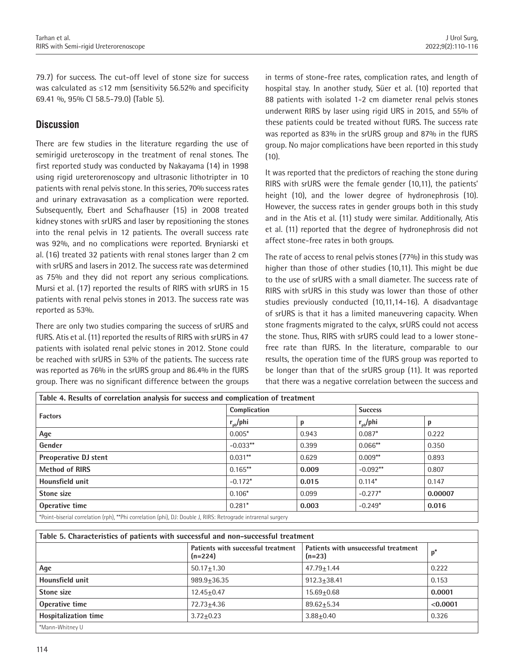79.7) for success. The cut-off level of stone size for success was calculated as ≤12 mm (sensitivity 56.52% and specificity 69.41 %, 95% CI 58.5-79.0) (Table 5).

# **Discussion**

There are few studies in the literature regarding the use of semirigid ureteroscopy in the treatment of renal stones. The first reported study was conducted by Nakayama (14) in 1998 using rigid ureterorenoscopy and ultrasonic lithotripter in 10 patients with renal pelvis stone. In this series, 70% success rates and urinary extravasation as a complication were reported. Subsequently, Ebert and Schafhauser (15) in 2008 treated kidney stones with srURS and laser by repositioning the stones into the renal pelvis in 12 patients. The overall success rate was 92%, and no complications were reported. Bryniarski et al. (16) treated 32 patients with renal stones larger than 2 cm with srURS and lasers in 2012. The success rate was determined as 75% and they did not report any serious complications. Mursi et al. (17) reported the results of RIRS with srURS in 15 patients with renal pelvis stones in 2013. The success rate was reported as 53%.

There are only two studies comparing the success of srURS and fURS. Atis et al. (11) reported the results of RIRS with srURS in 47 patients with isolated renal pelvic stones in 2012. Stone could be reached with srURS in 53% of the patients. The success rate was reported as 76% in the srURS group and 86.4% in the fURS group. There was no significant difference between the groups in terms of stone-free rates, complication rates, and length of hospital stay. In another study, Süer et al. (10) reported that 88 patients with isolated 1-2 cm diameter renal pelvis stones underwent RIRS by laser using rigid URS in 2015, and 55% of these patients could be treated without fURS. The success rate was reported as 83% in the srURS group and 87% in the fURS group. No major complications have been reported in this study  $(10)$ .

It was reported that the predictors of reaching the stone during RIRS with srURS were the female gender (10,11), the patients' height (10), and the lower degree of hydronephrosis (10). However, the success rates in gender groups both in this study and in the Atis et al. (11) study were similar. Additionally, Atis et al. (11) reported that the degree of hydronephrosis did not affect stone-free rates in both groups.

The rate of access to renal pelvis stones (77%) in this study was higher than those of other studies (10,11). This might be due to the use of srURS with a small diameter. The success rate of RIRS with srURS in this study was lower than those of other studies previously conducted (10,11,14-16). A disadvantage of srURS is that it has a limited maneuvering capacity. When stone fragments migrated to the calyx, srURS could not access the stone. Thus, RIRS with srURS could lead to a lower stonefree rate than fURS. In the literature, comparable to our results, the operation time of the fURS group was reported to be longer than that of the srURS group (11). It was reported that there was a negative correlation between the success and

|                              | Complication      |       | <b>Success</b>    |         |
|------------------------------|-------------------|-------|-------------------|---------|
| <b>Factors</b>               | $r_{\rm sh}$ /phi | p     | $r_{\rm nb}$ /phi | p       |
| Age                          | $0.005*$          | 0.943 | $0.087*$          | 0.222   |
| Gender                       | $-0.033**$        | 0.399 | $0.066**$         | 0.350   |
| <b>Preoperative DJ stent</b> | $0.031**$         | 0.629 | $0.009**$         | 0.893   |
| <b>Method of RIRS</b>        | $0.165***$        | 0.009 | $-0.092**$        | 0.807   |
| Hounsfield unit              | $-0.172*$         | 0.015 | $0.114*$          | 0.147   |
| Stone size                   | $0.106*$          | 0.099 | $-0.277*$         | 0.00007 |
| Operative time               | $0.281*$          | 0.003 | $-0.249*$         | 0.016   |

| Table 5. Characteristics of patients with successful and non-successful treatment |                                                 |                                                  |          |  |  |
|-----------------------------------------------------------------------------------|-------------------------------------------------|--------------------------------------------------|----------|--|--|
|                                                                                   | Patients with successful treatment<br>$(n=224)$ | Patients with unsuccessful treatment<br>$(n=23)$ | $p^*$    |  |  |
| Age                                                                               | $50.17 + 1.30$                                  | $47.79 + 1.44$                                   | 0.222    |  |  |
| Hounsfield unit                                                                   | 989.9+36.35                                     | $912.3 + 38.41$                                  | 0.153    |  |  |
| Stone size                                                                        | $12.45 + 0.47$                                  | $15.69 + 0.68$                                   | 0.0001   |  |  |
| Operative time                                                                    | 72.73+4.36                                      | $89.62 + 5.34$                                   | < 0.0001 |  |  |
| <b>Hospitalization time</b>                                                       | $3.72 + 0.23$                                   | $3.88 + 0.40$                                    | 0.326    |  |  |
| *Mann-Whitney U                                                                   |                                                 |                                                  |          |  |  |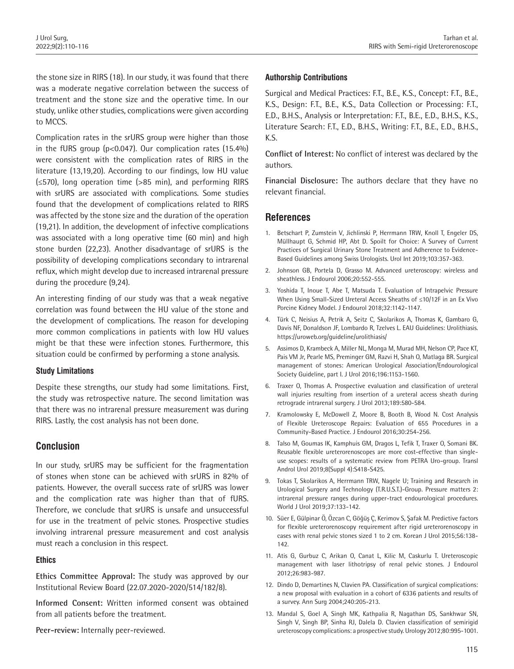the stone size in RIRS (18). In our study, it was found that there was a moderate negative correlation between the success of treatment and the stone size and the operative time. In our study, unlike other studies, complications were given according to MCCS.

Complication rates in the srURS group were higher than those in the fURS group ( $p < 0.047$ ). Our complication rates (15.4%) were consistent with the complication rates of RIRS in the literature (13,19,20). According to our findings, low HU value (≤570), long operation time (>85 min), and performing RIRS with srURS are associated with complications. Some studies found that the development of complications related to RIRS was affected by the stone size and the duration of the operation (19,21). In addition, the development of infective complications was associated with a long operative time (60 min) and high stone burden (22,23). Another disadvantage of srURS is the possibility of developing complications secondary to intrarenal reflux, which might develop due to increased intrarenal pressure during the procedure (9,24).

An interesting finding of our study was that a weak negative correlation was found between the HU value of the stone and the development of complications. The reason for developing more common complications in patients with low HU values might be that these were infection stones. Furthermore, this situation could be confirmed by performing a stone analysis.

## **Study Limitations**

Despite these strengths, our study had some limitations. First, the study was retrospective nature. The second limitation was that there was no intrarenal pressure measurement was during RIRS. Lastly, the cost analysis has not been done.

# **Conclusion**

In our study, srURS may be sufficient for the fragmentation of stones when stone can be achieved with srURS in 82% of patients. However, the overall success rate of srURS was lower and the complication rate was higher than that of fURS. Therefore, we conclude that srURS is unsafe and unsuccessful for use in the treatment of pelvic stones. Prospective studies involving intrarenal pressure measurement and cost analysis must reach a conclusion in this respect.

## **Ethics**

**Ethics Committee Approval:** The study was approved by our Institutional Review Board (22.07.2020-2020/514/182/8).

**Informed Consent:** Written informed consent was obtained from all patients before the treatment.

**Peer-review:** Internally peer-reviewed.

#### **Authorship Contributions**

Surgical and Medical Practices: F.T., B.E., K.S., Concept: F.T., B.E., K.S., Design: F.T., B.E., K.S., Data Collection or Processing: F.T., E.D., B.H.S., Analysis or Interpretation: F.T., B.E., E.D., B.H.S., K.S., Literature Search: F.T., E.D., B.H.S., Writing: F.T., B.E., E.D., B.H.S., K.S.

**Conflict of Interest:** No conflict of interest was declared by the authors.

**Financial Disclosure:** The authors declare that they have no relevant financial.

## **References**

- 1. Betschart P, Zumstein V, Jichlinski P, Herrmann TRW, Knoll T, Engeler DS, Müllhaupt G, Schmid HP, Abt D. Spoilt for Choice: A Survey of Current Practices of Surgical Urinary Stone Treatment and Adherence to Evidence-Based Guidelines among Swiss Urologists. Urol Int 2019;103:357-363.
- 2. Johnson GB, Portela D, Grasso M. Advanced ureteroscopy: wireless and sheathless. J Endourol 2006;20:552-555.
- 3. Yoshida T, Inoue T, Abe T, Matsuda T. Evaluation of Intrapelvic Pressure When Using Small-Sized Ureteral Access Sheaths of ≤10/12F in an Ex Vivo Porcine Kidney Model. J Endourol 2018;32:1142-1147.
- 4. Türk C, Neisius A, Petrik A, Seitz C, Skolarikos A, Thomas K, Gambaro G, Davis NF, Donaldson JF, Lombardo R, Tzelves L. EAU Guidelines: Urolithiasis. https://uroweb.org/guideline/urolithiasis/
- 5. Assimos D, Krambeck A, Miller NL, Monga M, Murad MH, Nelson CP, Pace KT, Pais VM Jr, Pearle MS, Preminger GM, Razvi H, Shah O, Matlaga BR. Surgical management of stones: American Urological Association/Endourological Society Guideline, part I. J Urol 2016;196:1153-1560.
- 6. Traxer O, Thomas A. Prospective evaluation and classification of ureteral wall injuries resulting from insertion of a ureteral access sheath during retrograde intrarenal surgery. J Urol 2013;189:580-584.
- 7. Kramolowsky E, McDowell Z, Moore B, Booth B, Wood N. Cost Analysis of Flexible Ureteroscope Repairs: Evaluation of 655 Procedures in a Community-Based Practice. J Endourol 2016;30:254-256.
- 8. Talso M, Goumas IK, Kamphuis GM, Dragos L, Tefik T, Traxer O, Somani BK. Reusable flexible ureterorenoscopes are more cost-effective than singleuse scopes: results of a systematic review from PETRA Uro-group. Transl Androl Urol 2019;8(Suppl 4):S418-S425.
- 9. Tokas T, Skolarikos A, Herrmann TRW, Nagele U; Training and Research in Urological Surgery and Technology (T.R.U.S.T.)-Group. Pressure matters 2: intrarenal pressure ranges during upper-tract endourological procedures. World J Urol 2019;37:133-142.
- 10. Süer E, Gülpinar Ö, Özcan C, Göğüş Ç, Kerimov S, Şafak M. Predictive factors for flexible ureterorenoscopy requirement after rigid ureterorenoscopy in cases with renal pelvic stones sized 1 to 2 cm. Korean J Urol 2015;56:138- 142.
- 11. Atis G, Gurbuz C, Arikan O, Canat L, Kilic M, Caskurlu T. Ureteroscopic management with laser lithotripsy of renal pelvic stones. J Endourol 2012;26:983-987.
- 12. Dindo D, Demartines N, Clavien PA. Classification of surgical complications: a new proposal with evaluation in a cohort of 6336 patients and results of a survey. Ann Surg 2004;240:205-213.
- 13. Mandal S, Goel A, Singh MK, Kathpalia R, Nagathan DS, Sankhwar SN, Singh V, Singh BP, Sinha RJ, Dalela D. Clavien classification of semirigid ureteroscopy complications: a prospective study. Urology 2012;80:995‐1001.